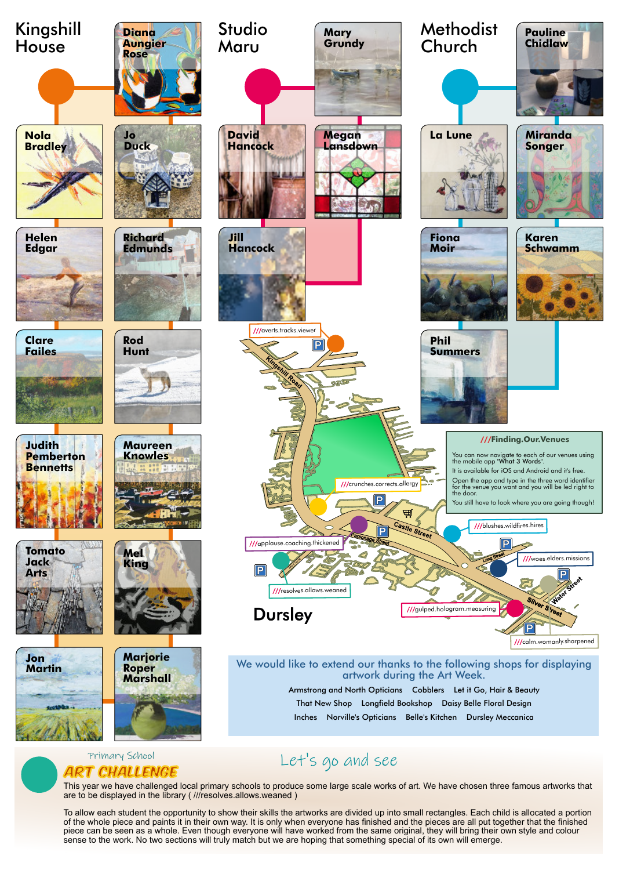





This year we have challenged local primary schools to produce some large scale works of art. We have chosen three famous artworks that are to be displayed in the library ( ///resolves.allows.weaned )

To allow each student the opportunity to show their skills the artworks are divided up into small rectangles. Each child is allocated a portion of the whole piece and paints it in their own way. It is only when everyone has finished and the pieces are all put together that the finished piece can be seen as a whole. Even though everyone will have worked from the same original, they will bring their own style and colour sense to the work. No two sections will truly match but we are hoping that something special of its own will emerge.

We would like to extend our thanks to the following shops for displaying artwork during the Art Week. Armstrong and North Opticians Cobblers Let it Go, Hair & Beauty That New Shop Longfield Bookshop Daisy Belle Floral Design Inches Norville's Opticians Belle's Kitchen Dursley Meccanica

## Primary School Let's go and see<br>ART CHALLENGE